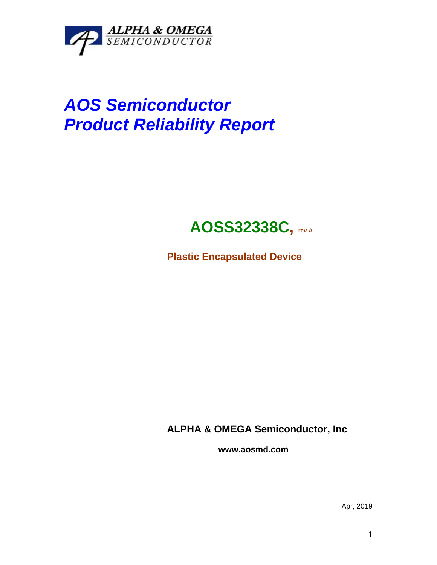

# *AOS Semiconductor Product Reliability Report*

## **AOSS32338C, rev <sup>A</sup>**

**Plastic Encapsulated Device**

**ALPHA & OMEGA Semiconductor, Inc**

**www.aosmd.com**

Apr, 2019